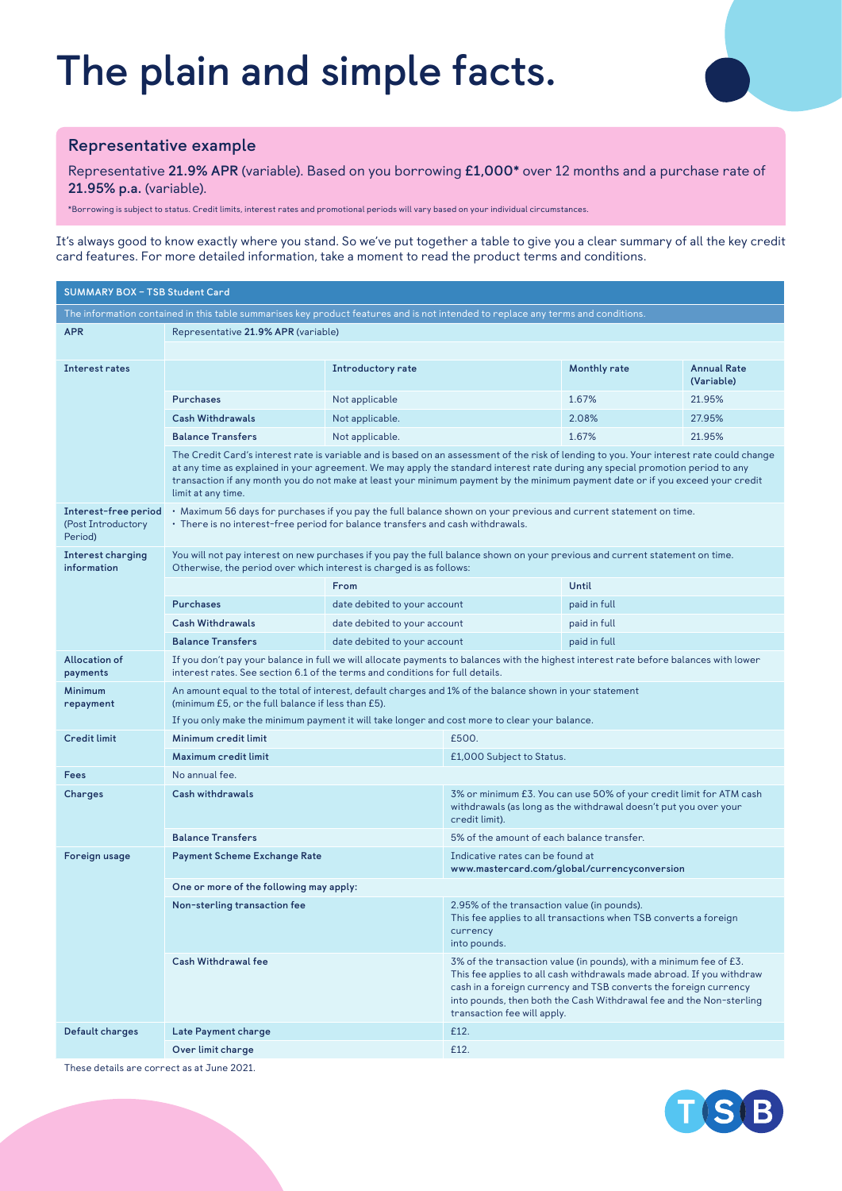# **The plain and simple facts.**



### **Representative example**

Representative **21.9% APR** (variable). Based on you borrowing **£1,000\*** over 12 months and a purchase rate of **21.95% p.a.** (variable).

\*Borrowing is subject to status. Credit limits, interest rates and promotional periods will vary based on your individual circumstances.

It's always good to know exactly where you stand. So we've put together a table to give you a clear summary of all the key credit card features. For more detailed information, take a moment to read the product terms and conditions.

| <b>SUMMARY BOX - TSB Student Card</b>                                                                                            |                                                                                                                                                                                                                                                                                                                                                                                                                                     |                              |                                                                                                                                                                                                                                                                                                                       |              |                                  |  |  |
|----------------------------------------------------------------------------------------------------------------------------------|-------------------------------------------------------------------------------------------------------------------------------------------------------------------------------------------------------------------------------------------------------------------------------------------------------------------------------------------------------------------------------------------------------------------------------------|------------------------------|-----------------------------------------------------------------------------------------------------------------------------------------------------------------------------------------------------------------------------------------------------------------------------------------------------------------------|--------------|----------------------------------|--|--|
| The information contained in this table summarises key product features and is not intended to replace any terms and conditions. |                                                                                                                                                                                                                                                                                                                                                                                                                                     |                              |                                                                                                                                                                                                                                                                                                                       |              |                                  |  |  |
| <b>APR</b>                                                                                                                       | Representative 21.9% APR (variable)                                                                                                                                                                                                                                                                                                                                                                                                 |                              |                                                                                                                                                                                                                                                                                                                       |              |                                  |  |  |
|                                                                                                                                  |                                                                                                                                                                                                                                                                                                                                                                                                                                     |                              |                                                                                                                                                                                                                                                                                                                       |              |                                  |  |  |
| Interest rates                                                                                                                   |                                                                                                                                                                                                                                                                                                                                                                                                                                     | Introductory rate            |                                                                                                                                                                                                                                                                                                                       | Monthly rate | <b>Annual Rate</b><br>(Variable) |  |  |
|                                                                                                                                  | <b>Purchases</b>                                                                                                                                                                                                                                                                                                                                                                                                                    | Not applicable               |                                                                                                                                                                                                                                                                                                                       | 1.67%        | 21.95%                           |  |  |
|                                                                                                                                  | <b>Cash Withdrawals</b>                                                                                                                                                                                                                                                                                                                                                                                                             | Not applicable.              |                                                                                                                                                                                                                                                                                                                       | 2.08%        | 27.95%                           |  |  |
|                                                                                                                                  | <b>Balance Transfers</b>                                                                                                                                                                                                                                                                                                                                                                                                            | Not applicable.              |                                                                                                                                                                                                                                                                                                                       | 1.67%        | 21.95%                           |  |  |
|                                                                                                                                  | The Credit Card's interest rate is variable and is based on an assessment of the risk of lending to you. Your interest rate could change<br>at any time as explained in your agreement. We may apply the standard interest rate during any special promotion period to any<br>transaction if any month you do not make at least your minimum payment by the minimum payment date or if you exceed your credit<br>limit at any time. |                              |                                                                                                                                                                                                                                                                                                                       |              |                                  |  |  |
| Interest-free period<br>(Post Introductory<br>Period)                                                                            | • Maximum 56 days for purchases if you pay the full balance shown on your previous and current statement on time.<br>• There is no interest-free period for balance transfers and cash withdrawals.                                                                                                                                                                                                                                 |                              |                                                                                                                                                                                                                                                                                                                       |              |                                  |  |  |
| <b>Interest charging</b><br>information                                                                                          | You will not pay interest on new purchases if you pay the full balance shown on your previous and current statement on time.<br>Otherwise, the period over which interest is charged is as follows:                                                                                                                                                                                                                                 |                              |                                                                                                                                                                                                                                                                                                                       |              |                                  |  |  |
|                                                                                                                                  |                                                                                                                                                                                                                                                                                                                                                                                                                                     | From                         |                                                                                                                                                                                                                                                                                                                       | Until        |                                  |  |  |
|                                                                                                                                  | <b>Purchases</b>                                                                                                                                                                                                                                                                                                                                                                                                                    | date debited to your account |                                                                                                                                                                                                                                                                                                                       | paid in full |                                  |  |  |
|                                                                                                                                  | <b>Cash Withdrawals</b>                                                                                                                                                                                                                                                                                                                                                                                                             | date debited to your account |                                                                                                                                                                                                                                                                                                                       | paid in full |                                  |  |  |
|                                                                                                                                  | <b>Balance Transfers</b>                                                                                                                                                                                                                                                                                                                                                                                                            | date debited to your account | paid in full                                                                                                                                                                                                                                                                                                          |              |                                  |  |  |
| Allocation of<br>payments                                                                                                        | If you don't pay your balance in full we will allocate payments to balances with the highest interest rate before balances with lower<br>interest rates. See section 6.1 of the terms and conditions for full details.                                                                                                                                                                                                              |                              |                                                                                                                                                                                                                                                                                                                       |              |                                  |  |  |
| <b>Minimum</b><br>repayment                                                                                                      | An amount equal to the total of interest, default charges and 1% of the balance shown in your statement<br>(minimum £5, or the full balance if less than £5).                                                                                                                                                                                                                                                                       |                              |                                                                                                                                                                                                                                                                                                                       |              |                                  |  |  |
|                                                                                                                                  | If you only make the minimum payment it will take longer and cost more to clear your balance.                                                                                                                                                                                                                                                                                                                                       |                              |                                                                                                                                                                                                                                                                                                                       |              |                                  |  |  |
| <b>Credit limit</b>                                                                                                              | Minimum credit limit                                                                                                                                                                                                                                                                                                                                                                                                                |                              | £500.                                                                                                                                                                                                                                                                                                                 |              |                                  |  |  |
|                                                                                                                                  | Maximum credit limit                                                                                                                                                                                                                                                                                                                                                                                                                |                              | £1,000 Subject to Status.                                                                                                                                                                                                                                                                                             |              |                                  |  |  |
| Fees                                                                                                                             | No annual fee.                                                                                                                                                                                                                                                                                                                                                                                                                      |                              |                                                                                                                                                                                                                                                                                                                       |              |                                  |  |  |
| Charges                                                                                                                          | Cash withdrawals                                                                                                                                                                                                                                                                                                                                                                                                                    |                              | 3% or minimum £3. You can use 50% of your credit limit for ATM cash<br>withdrawals (as long as the withdrawal doesn't put you over your<br>credit limit).                                                                                                                                                             |              |                                  |  |  |
|                                                                                                                                  | <b>Balance Transfers</b>                                                                                                                                                                                                                                                                                                                                                                                                            |                              | 5% of the amount of each balance transfer.                                                                                                                                                                                                                                                                            |              |                                  |  |  |
| Foreign usage                                                                                                                    | <b>Payment Scheme Exchange Rate</b>                                                                                                                                                                                                                                                                                                                                                                                                 |                              | Indicative rates can be found at<br>www.mastercard.com/global/currencyconversion                                                                                                                                                                                                                                      |              |                                  |  |  |
|                                                                                                                                  | One or more of the following may apply:                                                                                                                                                                                                                                                                                                                                                                                             |                              |                                                                                                                                                                                                                                                                                                                       |              |                                  |  |  |
|                                                                                                                                  | Non-sterling transaction fee                                                                                                                                                                                                                                                                                                                                                                                                        |                              | 2.95% of the transaction value (in pounds).<br>This fee applies to all transactions when TSB converts a foreign<br>currency<br>into pounds.                                                                                                                                                                           |              |                                  |  |  |
|                                                                                                                                  | <b>Cash Withdrawal fee</b>                                                                                                                                                                                                                                                                                                                                                                                                          |                              | 3% of the transaction value (in pounds), with a minimum fee of £3.<br>This fee applies to all cash withdrawals made abroad. If you withdraw<br>cash in a foreign currency and TSB converts the foreign currency<br>into pounds, then both the Cash Withdrawal fee and the Non-sterling<br>transaction fee will apply. |              |                                  |  |  |
| Default charges                                                                                                                  | Late Payment charge                                                                                                                                                                                                                                                                                                                                                                                                                 |                              | £12.                                                                                                                                                                                                                                                                                                                  |              |                                  |  |  |
|                                                                                                                                  | Over limit charge                                                                                                                                                                                                                                                                                                                                                                                                                   |                              | £12.                                                                                                                                                                                                                                                                                                                  |              |                                  |  |  |

These details are correct as at June 2021.